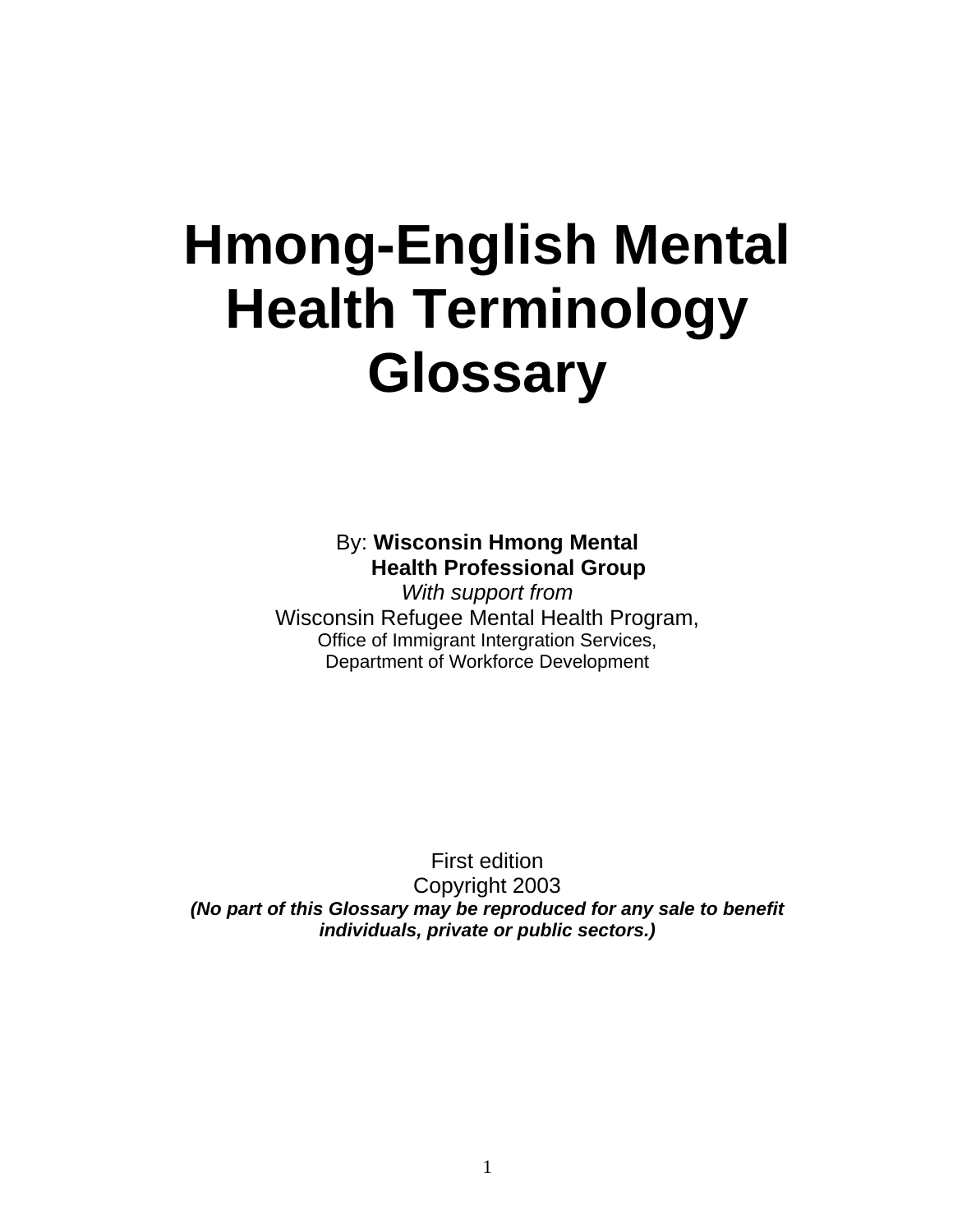## **Hmong-English Mental Health Terminology Glossary**

By: **Wisconsin Hmong Mental Health Professional Group**

*With support from* Wisconsin Refugee Mental Health Program, Office of Immigrant Intergration Services, Department of Workforce Development

First edition Copyright 2003 *(No part of this Glossary may be reproduced for any sale to benefit individuals, private or public sectors.)*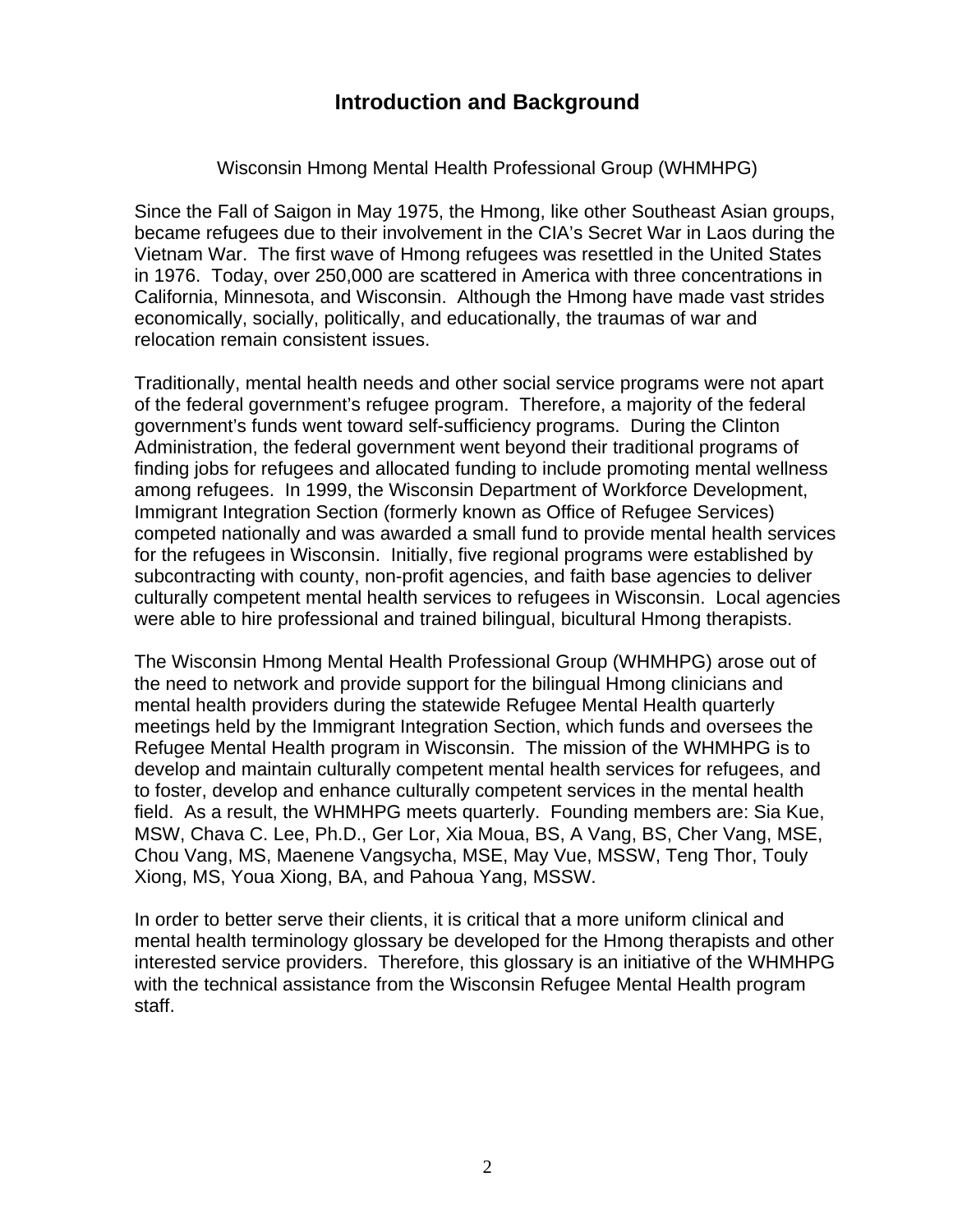## Wisconsin Hmong Mental Health Professional Group (WHMHPG)

Since the Fall of Saigon in May 1975, the Hmong, like other Southeast Asian groups, became refugees due to their involvement in the CIA's Secret War in Laos during the Vietnam War. The first wave of Hmong refugees was resettled in the United States in 1976. Today, over 250,000 are scattered in America with three concentrations in California, Minnesota, and Wisconsin. Although the Hmong have made vast strides economically, socially, politically, and educationally, the traumas of war and relocation remain consistent issues.

Traditionally, mental health needs and other social service programs were not apart of the federal government's refugee program. Therefore, a majority of the federal government's funds went toward self-sufficiency programs. During the Clinton Administration, the federal government went beyond their traditional programs of finding jobs for refugees and allocated funding to include promoting mental wellness among refugees. In 1999, the Wisconsin Department of Workforce Development, Immigrant Integration Section (formerly known as Office of Refugee Services) competed nationally and was awarded a small fund to provide mental health services for the refugees in Wisconsin. Initially, five regional programs were established by subcontracting with county, non-profit agencies, and faith base agencies to deliver culturally competent mental health services to refugees in Wisconsin. Local agencies were able to hire professional and trained bilingual, bicultural Hmong therapists.

The Wisconsin Hmong Mental Health Professional Group (WHMHPG) arose out of the need to network and provide support for the bilingual Hmong clinicians and mental health providers during the statewide Refugee Mental Health quarterly meetings held by the Immigrant Integration Section, which funds and oversees the Refugee Mental Health program in Wisconsin. The mission of the WHMHPG is to develop and maintain culturally competent mental health services for refugees, and to foster, develop and enhance culturally competent services in the mental health field. As a result, the WHMHPG meets quarterly. Founding members are: Sia Kue, MSW, Chava C. Lee, Ph.D., Ger Lor, Xia Moua, BS, A Vang, BS, Cher Vang, MSE, Chou Vang, MS, Maenene Vangsycha, MSE, May Vue, MSSW, Teng Thor, Touly Xiong, MS, Youa Xiong, BA, and Pahoua Yang, MSSW.

In order to better serve their clients, it is critical that a more uniform clinical and mental health terminology glossary be developed for the Hmong therapists and other interested service providers. Therefore, this glossary is an initiative of the WHMHPG with the technical assistance from the Wisconsin Refugee Mental Health program staff.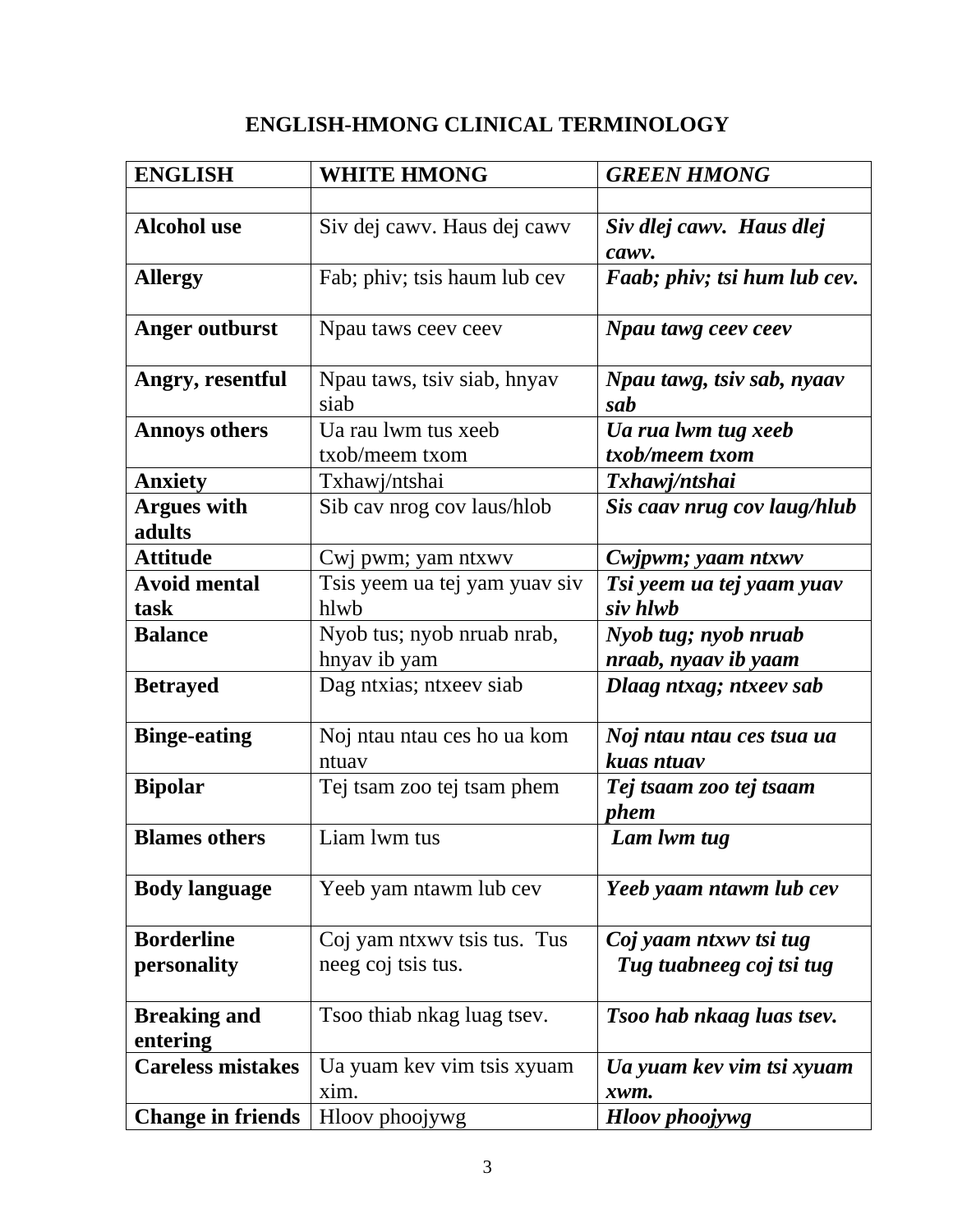## **ENGLISH-HMONG CLINICAL TERMINOLOGY**

| <b>ENGLISH</b>              | <b>WHITE HMONG</b>                    | <b>GREEN HMONG</b>                     |
|-----------------------------|---------------------------------------|----------------------------------------|
|                             |                                       |                                        |
| <b>Alcohol use</b>          | Siv dej cawy. Haus dej cawy           | Siv dlej cawv. Haus dlej               |
|                             |                                       | cawv.                                  |
| <b>Allergy</b>              | Fab; phiv; tsis haum lub cev          | Faab; phiv; tsi hum lub cev.           |
| <b>Anger outburst</b>       | Npau taws ceev ceev                   | Npau tawg ceev ceev                    |
| Angry, resentful            | Npau taws, tsiv siab, hnyav           | Npau tawg, tsiv sab, nyaav             |
|                             | siab                                  | sab                                    |
| <b>Annoys others</b>        | Ua rau lwm tus xeeb                   | Ua rua lwm tug xeeb                    |
|                             | txob/meem txom                        | txob/meem txom                         |
| <b>Anxiety</b>              | Txhawj/ntshai                         | Txhawj/ntshai                          |
| <b>Argues with</b>          | Sib cav nrog cov laus/hlob            | Sis caav nrug cov laug/hlub            |
| adults                      |                                       |                                        |
| <b>Attitude</b>             | Cwj pwm; yam ntxwv                    | Cwjpwm; yaam ntxwv                     |
| <b>Avoid mental</b><br>task | Tsis yeem ua tej yam yuav siv<br>hlwb | Tsi yeem ua tej yaam yuav<br>siv hlwb  |
| <b>Balance</b>              | Nyob tus; nyob nruab nrab,            |                                        |
|                             | hnyav ib yam                          | Nyob tug; nyob nruab                   |
|                             |                                       | nraab, nyaav ib yaam                   |
| <b>Betrayed</b>             | Dag ntxias; ntxeev siab               | Dlaag ntxag; ntxeev sab                |
| <b>Binge-eating</b>         | Noj ntau ntau ces ho ua kom           | Noj ntau ntau ces tsua ua              |
|                             | ntuav                                 | kuas ntuav                             |
| <b>Bipolar</b>              | Tej tsam zoo tej tsam phem            | Tej tsaam zoo tej tsaam<br><i>phem</i> |
| <b>Blames others</b>        | Liam lwm tus                          | Lam lwm tug                            |
| <b>Body language</b>        | Yeeb yam ntawm lub cev                | Yeeb yaam ntawm lub cev                |
| <b>Borderline</b>           | Coj yam ntxwy tsis tus. Tus           | Coj yaam ntxwy tsi tug                 |
| personality                 | neeg coj tsis tus.                    | Tug tuabneeg coj tsi tug               |
| <b>Breaking and</b>         | Tsoo thiab nkag luag tsev.            | Tsoo hab nkaag luas tsev.              |
| entering                    |                                       |                                        |
| <b>Careless mistakes</b>    | Ua yuam kev vim tsis xyuam            | Ua yuam kev vim tsi xyuam              |
|                             | xim.                                  | xwm.                                   |
| <b>Change in friends</b>    | Hloov phoojywg                        | <b>Hloov</b> phoojywg                  |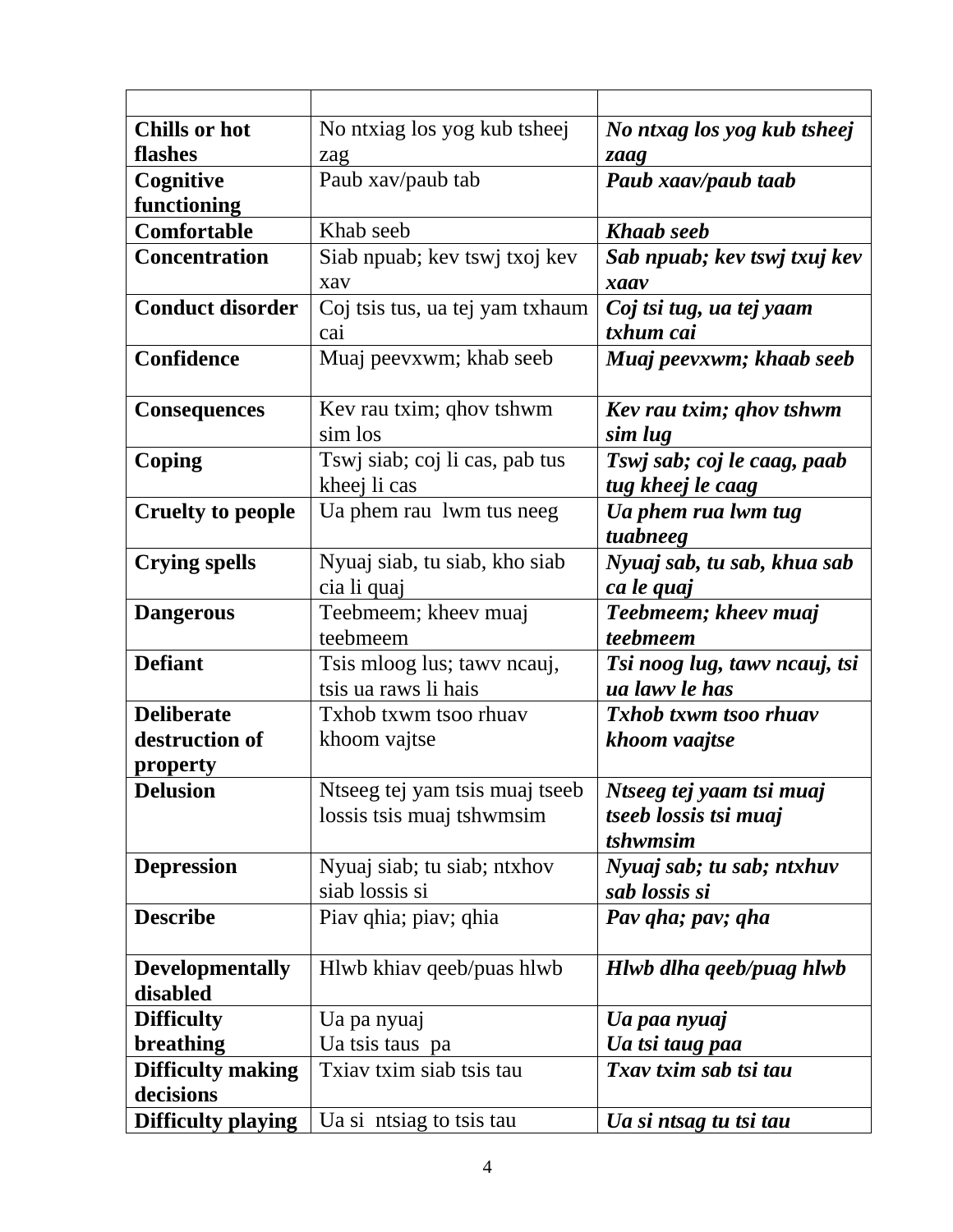| <b>Chills or hot</b>     | No ntxiag los yog kub tsheej    | No ntxag los yog kub tsheej   |
|--------------------------|---------------------------------|-------------------------------|
| flashes                  | zag                             | zaag                          |
| Cognitive                | Paub xav/paub tab               | Paub xaav/paub taab           |
| functioning              |                                 |                               |
| Comfortable              | Khab seeb                       | <b>Khaab</b> seeb             |
| <b>Concentration</b>     | Siab npuab; kev tswj txoj kev   | Sab npuab; kev tswj txuj kev  |
|                          | xav                             | xaav                          |
| <b>Conduct disorder</b>  | Coj tsis tus, ua tej yam txhaum | Coj tsi tug, ua tej yaam      |
|                          | cai                             | txhum cai                     |
| Confidence               | Muaj peevxwm; khab seeb         | Muaj peevxwm; khaab seeb      |
|                          |                                 |                               |
| <b>Consequences</b>      | Kev rau txim; qhov tshwm        | Kev rau txim; ghov tshwm      |
|                          | sim los                         | sim lug                       |
| Coping                   | Tswj siab; coj li cas, pab tus  | Tswj sab; coj le caag, paab   |
|                          | kheej li cas                    | tug kheej le caag             |
| <b>Cruelty to people</b> | Ua phem rau 1wm tus neeg        | Ua phem rua lwm tug           |
|                          |                                 | tuabneeg                      |
| <b>Crying spells</b>     | Nyuaj siab, tu siab, kho siab   | Nyuaj sab, tu sab, khua sab   |
|                          | cia li quaj                     | ca le quaj                    |
| <b>Dangerous</b>         | Teebmeem; kheev muaj            | Teebmeem; kheev muaj          |
|                          | teebmeem                        | teebmeem                      |
| <b>Defiant</b>           | Tsis mloog lus; tawy neauj,     | Tsi noog lug, tawv ncauj, tsi |
|                          | tsis ua raws li hais            | ua lawy le has                |
| <b>Deliberate</b>        | Txhob txwm tsoo rhuay           | <b>Txhob txwm tsoo rhuav</b>  |
| destruction of           | khoom vajtse                    | khoom vaajtse                 |
| <u>property</u>          |                                 |                               |
| <b>Delusion</b>          | Ntseeg tej yam tsis muaj tseeb  | Ntseeg tej yaam tsi muaj      |
|                          | lossis tsis muaj tshwmsim       | tseeb lossis tsi muaj         |
|                          |                                 | tshwmsim                      |
| <b>Depression</b>        | Nyuaj siab; tu siab; ntxhov     | Nyuaj sab; tu sab; ntxhuv     |
|                          | siab lossis si                  | sab lossis si                 |
| <b>Describe</b>          | Piav qhia; piav; qhia           | Pav qha; pav; qha             |
|                          |                                 |                               |
| <b>Developmentally</b>   | Hlwb khiav qeeb/puas hlwb       | Hlwb dlha qeeb/puag hlwb      |
| disabled                 |                                 |                               |
| <b>Difficulty</b>        | Ua pa nyuaj                     | Ua paa nyuaj                  |
| breathing                | Ua tsis taus pa                 | Ua tsi taug paa               |
| <b>Difficulty making</b> | Txiav txim siab tsis tau        | Txav txim sab tsi tau         |
| decisions                |                                 |                               |
| Difficulty playing       | Ua si ntsiag to tsis tau        | Ua si ntsag tu tsi tau        |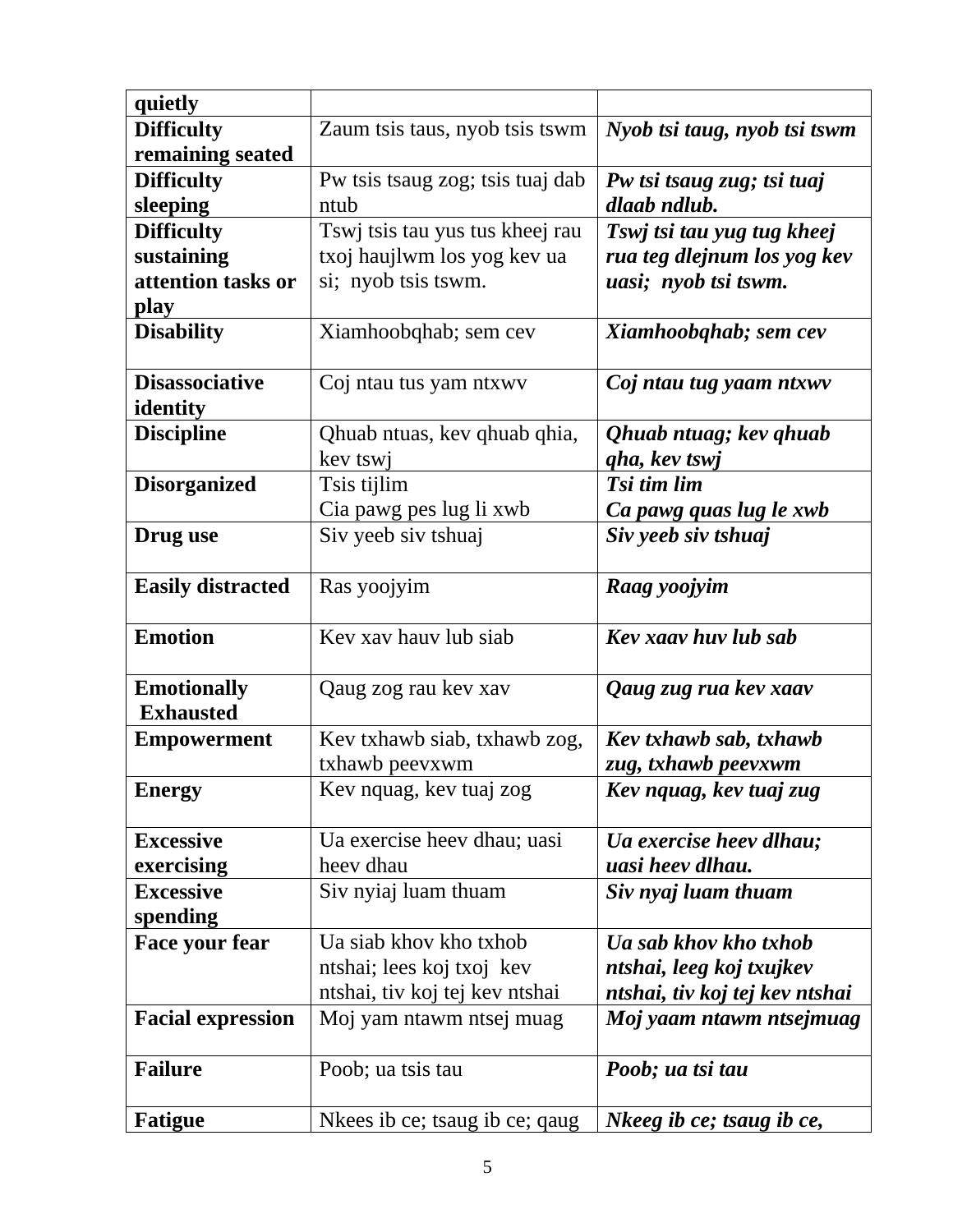| quietly                  |                                  |                                |
|--------------------------|----------------------------------|--------------------------------|
| <b>Difficulty</b>        | Zaum tsis taus, nyob tsis tswm   | Nyob tsi taug, nyob tsi tswm   |
| remaining seated         |                                  |                                |
| <b>Difficulty</b>        | Pw tsis tsaug zog; tsis tuaj dab | Pw tsi tsaug zug; tsi tuaj     |
| sleeping                 | ntub                             | dlaab ndlub.                   |
| <b>Difficulty</b>        | Tswj tsis tau yus tus kheej rau  | Tswj tsi tau yug tug kheej     |
| sustaining               | txoj haujlwm los yog kev ua      | rua teg dlejnum los yog kev    |
| attention tasks or       | si; nyob tsis tswm.              | uasi; nyob tsi tswm.           |
| play                     |                                  |                                |
| <b>Disability</b>        | Xiamhoobqhab; sem cev            | Xiamhoobqhab; sem cev          |
|                          |                                  |                                |
| <b>Disassociative</b>    | Coj ntau tus yam ntxwy           | Coj ntau tug yaam ntxwv        |
| identity                 |                                  |                                |
| <b>Discipline</b>        | Qhuab ntuas, kev qhuab qhia,     | Qhuab ntuag; kev qhuab         |
|                          | kev tswj                         | qha, kev tswj                  |
| <b>Disorganized</b>      | Tsis tijlim                      | Tsi tim lim                    |
|                          | Cia pawg pes lug li xwb          | Ca pawg quas lug le xwb        |
| Drug use                 | Siv yeeb siv tshuaj              | Siv yeeb siv tshuaj            |
|                          |                                  |                                |
| <b>Easily distracted</b> | Ras yoojyim                      | Raag yoojyim                   |
|                          |                                  |                                |
| <b>Emotion</b>           | Key xay hauy lub siab            | Kev xaav huv lub sab           |
|                          |                                  |                                |
| <b>Emotionally</b>       | Qaug zog rau kev xav             | Qaug zug rua kev xaav          |
| <b>Exhausted</b>         |                                  |                                |
| <b>Empowerment</b>       | Kev txhawb siab, txhawb zog,     | Kev txhawb sab, txhawb         |
|                          | txhawb peevxwm                   | zug, txhawb peevxwm            |
| <b>Energy</b>            | Kev nquag, kev tuaj zog          | Kev nquag, kev tuaj zug        |
|                          |                                  |                                |
| <b>Excessive</b>         | Ua exercise heev dhau; uasi      | Ua exercise heev dlhau;        |
| exercising               | heev dhau                        | uasi heev dlhau.               |
| <b>Excessive</b>         | Siv nyiaj luam thuam             | Siv nyaj luam thuam            |
| spending                 |                                  |                                |
| Face your fear           | Ua siab khov kho txhob           | Ua sab khov kho txhob          |
|                          | ntshai; lees koj txoj kev        | ntshai, leeg koj txujkev       |
|                          | ntshai, tiv koj tej kev ntshai   | ntshai, tiv koj tej kev ntshai |
| <b>Facial expression</b> | Moj yam ntawm ntsej muag         | Moj yaam ntawm ntsejmuag       |
|                          |                                  |                                |
| <b>Failure</b>           | Poob; ua tsis tau                | Poob; ua tsi tau               |
|                          |                                  |                                |
| <b>Fatigue</b>           | Nkees ib ce; tsaug ib ce; qaug   | Nkeeg ib ce; tsaug ib ce,      |
|                          |                                  |                                |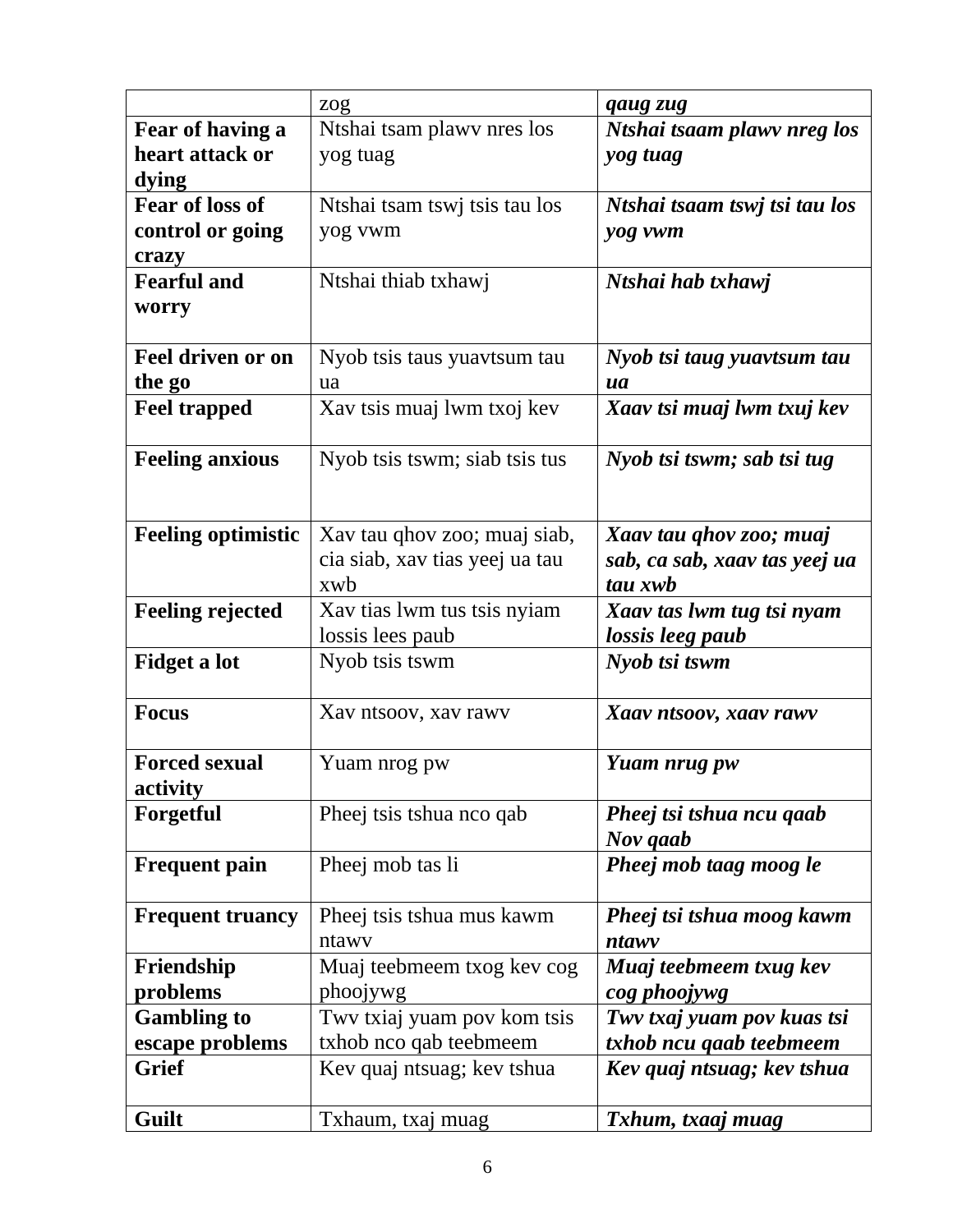|                           | zog                            | qaug zug                      |
|---------------------------|--------------------------------|-------------------------------|
| Fear of having a          | Ntshai tsam plawy nres los     | Ntshai tsaam plawv nreg los   |
| heart attack or           | yog tuag                       | yog tuag                      |
| dying                     |                                |                               |
| <b>Fear of loss of</b>    | Ntshai tsam tswj tsis tau los  | Ntshai tsaam tswj tsi tau los |
| control or going          | yog vwm                        | yog vwm                       |
| crazy                     |                                |                               |
| <b>Fearful and</b>        | Ntshai thiab txhawj            | Ntshai hab txhawj             |
| worry                     |                                |                               |
|                           |                                |                               |
| <b>Feel driven or on</b>  | Nyob tsis taus yuavtsum tau    | Nyob tsi taug yuavtsum tau    |
| the go                    | ua                             | ua                            |
| <b>Feel trapped</b>       | Xav tsis muaj lwm txoj kev     | Xaav tsi muaj lwm txuj kev    |
|                           |                                |                               |
| <b>Feeling anxious</b>    | Nyob tsis tswm; siab tsis tus  | Nyob tsi tswm; sab tsi tug    |
|                           |                                |                               |
|                           |                                |                               |
| <b>Feeling optimistic</b> | Xav tau qhov zoo; muaj siab,   | Xaav tau qhov zoo; muaj       |
|                           | cia siab, xav tias yeej ua tau | sab, ca sab, xaav tas yeej ua |
|                           | xwb                            | tau xwb                       |
| <b>Feeling rejected</b>   | Xav tias lwm tus tsis nyiam    | Xaav tas lwm tug tsi nyam     |
|                           | lossis lees paub               | lossis leeg paub              |
| <b>Fidget a lot</b>       | Nyob tsis tswm                 | Nyob tsi tswm                 |
|                           |                                |                               |
| <b>Focus</b>              | Xav ntsoov, xav rawy           | Xaav ntsoov, xaav rawv        |
|                           |                                |                               |
| <b>Forced sexual</b>      | Yuam nrog pw                   | Yuam nrug pw                  |
| activity                  |                                |                               |
| Forgetful                 | Pheej tsis tshua nco qab       | Pheej tsi tshua ncu qaab      |
|                           |                                | Nov qaab                      |
| <b>Frequent pain</b>      | Pheej mob tas li               | Pheej mob taag moog le        |
|                           |                                |                               |
| <b>Frequent truancy</b>   | Pheej tsis tshua mus kawm      | Pheej tsi tshua moog kawm     |
|                           | ntawy                          | ntawy                         |
| Friendship                | Muaj teebmeem txog kev cog     | Muaj teebmeem txug kev        |
| problems                  | phoojywg                       | cog phoojywg                  |
| <b>Gambling to</b>        | Twy txiaj yuam pov kom tsis    | Twv txaj yuam pov kuas tsi    |
| escape problems           | txhob nco qab teebmeem         | txhob ncu qaab teebmeem       |
| <b>Grief</b>              | Kev quaj ntsuag; kev tshua     | Kev quaj ntsuag; kev tshua    |
|                           |                                |                               |
| Guilt                     | Txhaum, txaj muag              | Txhum, txaaj muag             |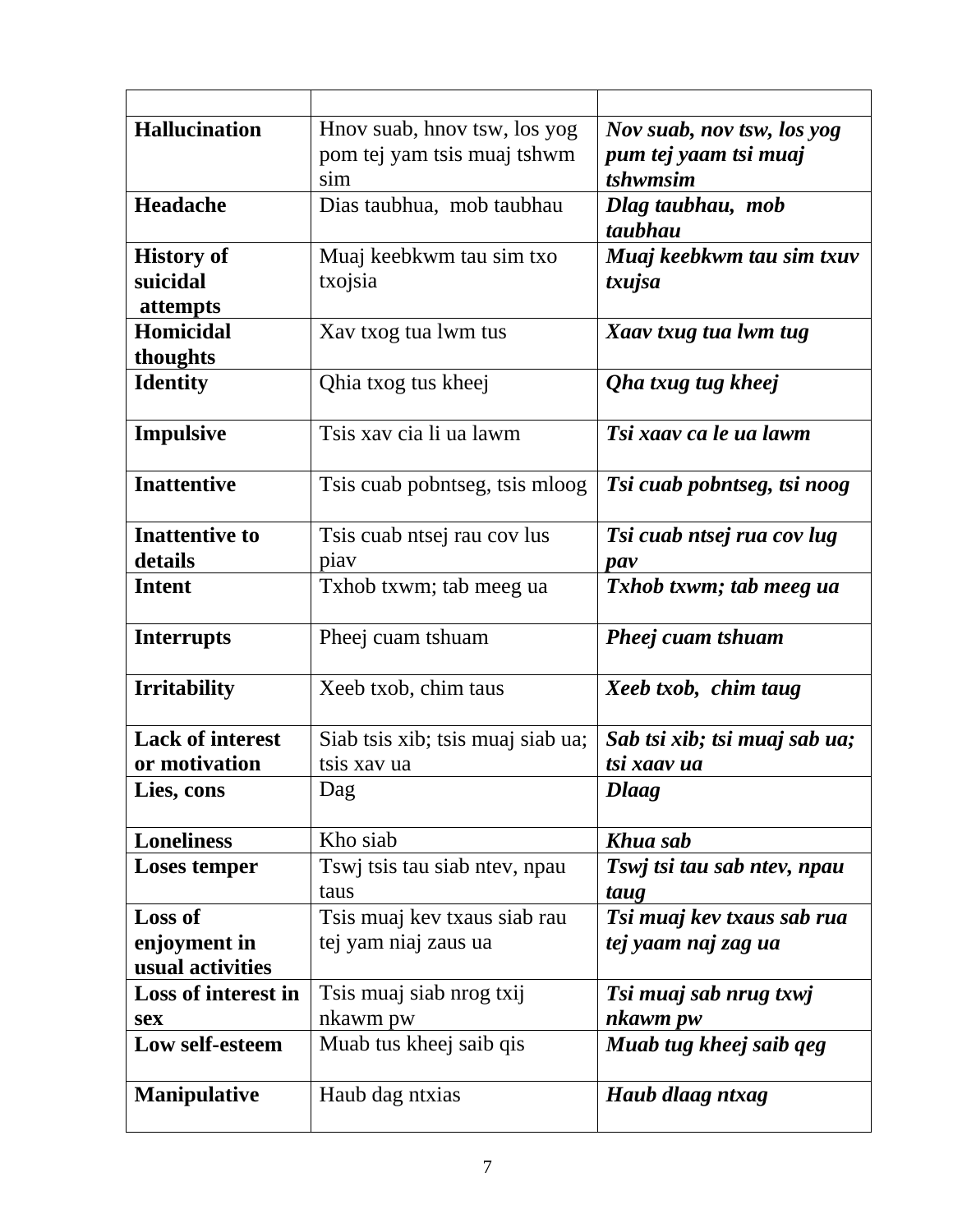| <b>Hallucination</b>    | Hnov suab, hnov tsw, los yog      | Nov suab, nov tsw, los yog    |
|-------------------------|-----------------------------------|-------------------------------|
|                         | pom tej yam tsis muaj tshwm       | pum tej yaam tsi muaj         |
|                         | sim                               | tshwmsim                      |
| Headache                | Dias taubhua, mob taubhau         | Dlag taubhau, mob             |
|                         |                                   | taubhau                       |
| <b>History of</b>       | Muaj keebkwm tau sim txo          | Muaj keebkwm tau sim txuv     |
| suicidal                | txojsia                           | txujsa                        |
| attempts                |                                   |                               |
| <b>Homicidal</b>        | Xav txog tua lwm tus              | Xaav txug tua lwm tug         |
| thoughts                |                                   |                               |
| <b>Identity</b>         | Qhia txog tus kheej               | Qha txug tug kheej            |
|                         |                                   |                               |
| <b>Impulsive</b>        | Tsis xav cia li ua lawm           | Tsi xaav ca le ua lawm        |
| <b>Inattentive</b>      | Tsis cuab pobntseg, tsis mloog    | Tsi cuab pobntseg, tsi noog   |
|                         |                                   |                               |
| <b>Inattentive to</b>   | Tsis cuab ntsej rau cov lus       | Tsi cuab ntsej rua cov lug    |
| details                 | piay                              | $\boldsymbol{p}$              |
| <b>Intent</b>           | Txhob txwm; tab meeg ua           | Txhob txwm; tab meeg ua       |
| <b>Interrupts</b>       | Pheej cuam tshuam                 | Pheej cuam tshuam             |
| <b>Irritability</b>     | Xeeb txob, chim taus              | Xeeb txob, chim taug          |
| <b>Lack of interest</b> | Siab tsis xib; tsis muaj siab ua; | Sab tsi xib; tsi muaj sab ua; |
| or motivation           | tsis xav ua                       | tsi xaav ua                   |
| Lies, cons              | Dag                               | <b>Dlaag</b>                  |
|                         |                                   |                               |
| <b>Loneliness</b>       | Kho siab                          | Khua sab                      |
| <b>Loses temper</b>     | Tswj tsis tau siab ntev, npau     | Tswj tsi tau sab ntev, npau   |
|                         | taus                              | taug                          |
| <b>Loss of</b>          | Tsis muaj kev txaus siab rau      | Tsi muaj kev txaus sab rua    |
| enjoyment in            | tej yam niaj zaus ua              | tej yaam naj zag ua           |
| usual activities        |                                   |                               |
| Loss of interest in     | Tsis muaj siab nrog txij          | Tsi muaj sab nrug txwj        |
| sex                     | nkawm pw                          | nkawm pw                      |
| Low self-esteem         | Muab tus kheej saib qis           | Muab tug kheej saib qeg       |
| <b>Manipulative</b>     | Haub dag ntxias                   | Haub dlaag ntxag              |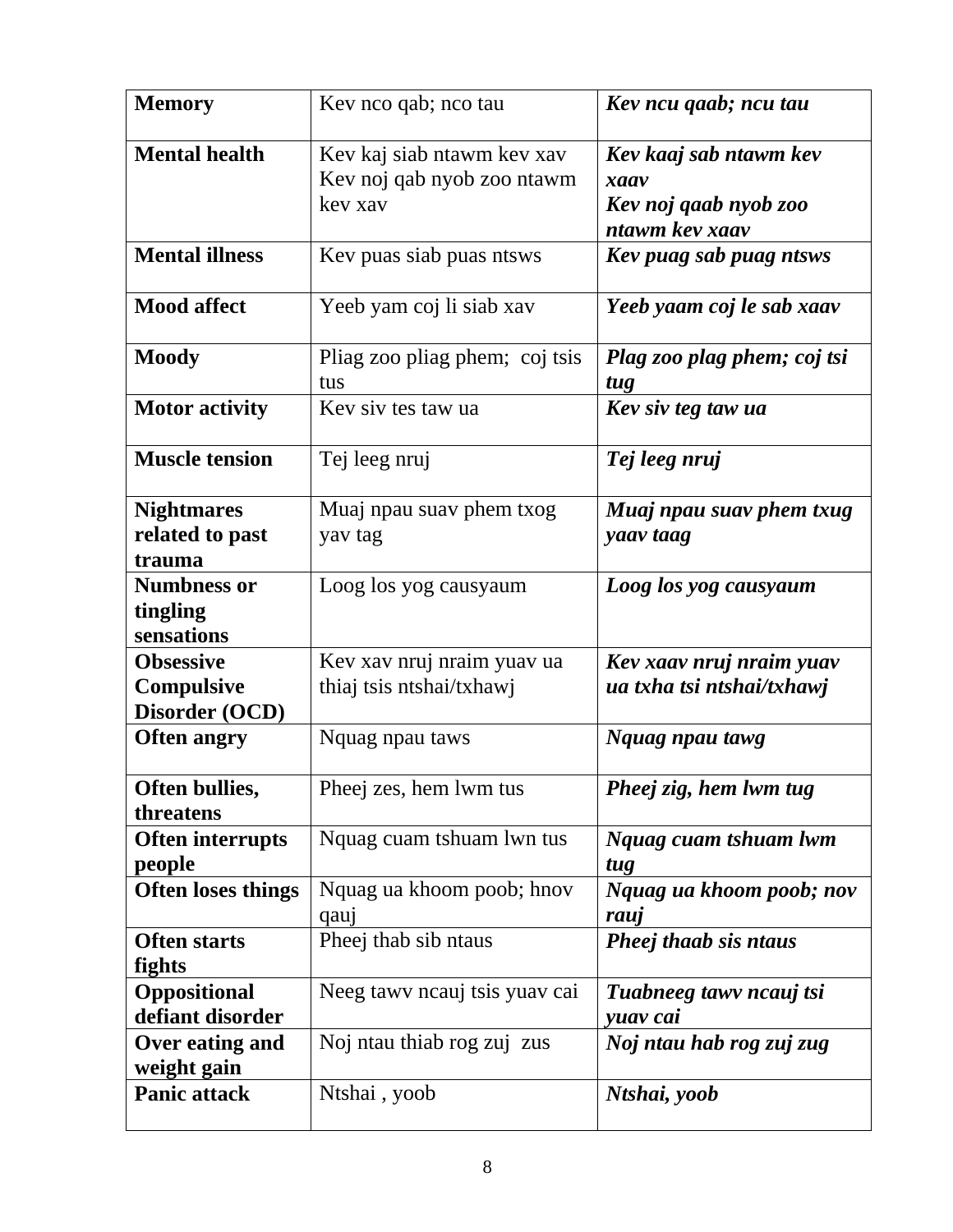| <b>Memory</b>                                    | Kev nco qab; nco tau                                                | Kev ncu qaab; ncu tau                                                     |
|--------------------------------------------------|---------------------------------------------------------------------|---------------------------------------------------------------------------|
| <b>Mental health</b>                             | Kev kaj siab ntawm kev xav<br>Kev noj qab nyob zoo ntawm<br>kev xav | Kev kaaj sab ntawm kev<br>xaav<br>Kev noj qaab nyob zoo<br>ntawm kev xaav |
| <b>Mental illness</b>                            | Kev puas siab puas ntsws                                            | Kev puag sab puag ntsws                                                   |
| <b>Mood affect</b>                               | Yeeb yam coj li siab xav                                            | Yeeb yaam coj le sab xaav                                                 |
| <b>Moody</b>                                     | Pliag zoo pliag phem; coj tsis<br>tus                               | Plag zoo plag phem; coj tsi<br>tug                                        |
| <b>Motor activity</b>                            | Kev siv tes taw ua                                                  | Kev siv teg taw ua                                                        |
| <b>Muscle tension</b>                            | Tej leeg nruj                                                       | Tej leeg nruj                                                             |
| <b>Nightmares</b><br>related to past<br>trauma   | Muaj npau suav phem txog<br>yav tag                                 | Muaj npau suav phem txug<br>yaav taag                                     |
| <b>Numbness or</b><br>tingling<br>sensations     | Loog los yog causyaum                                               | Loog los yog causyaum                                                     |
| <b>Obsessive</b><br>Compulsive<br>Disorder (OCD) | Kev xav nruj nraim yuav ua<br>thiaj tsis ntshai/txhawj              | Kev xaav nruj nraim yuav<br>ua txha tsi ntshai/txhawj                     |
| <b>Often angry</b>                               | Nquag npau taws                                                     | Nquag npau tawg                                                           |
| Often bullies,<br>threatens                      | Pheej zes, hem lwm tus                                              | Pheej zig, hem lwm tug                                                    |
| <b>Often interrupts</b><br>people                | Nquag cuam tshuam lwn tus                                           | Nquag cuam tshuam lwm<br>tug                                              |
| <b>Often loses things</b>                        | Nquag ua khoom poob; hnov<br>qauj                                   | Nquag ua khoom poob; nov<br>rauj                                          |
| <b>Often starts</b><br>fights                    | Pheej thab sib ntaus                                                | Pheej thaab sis ntaus                                                     |
| Oppositional<br>defiant disorder                 | Neeg tawy neauj tsis yuav cai                                       | Tuabneeg tawy ncauj tsi<br>yuav cai                                       |
| Over eating and<br>weight gain                   | Noj ntau thiab rog zuj zus                                          | Noj ntau hab rog zuj zug                                                  |
| <b>Panic attack</b>                              | Ntshai, yoob                                                        | Ntshai, yoob                                                              |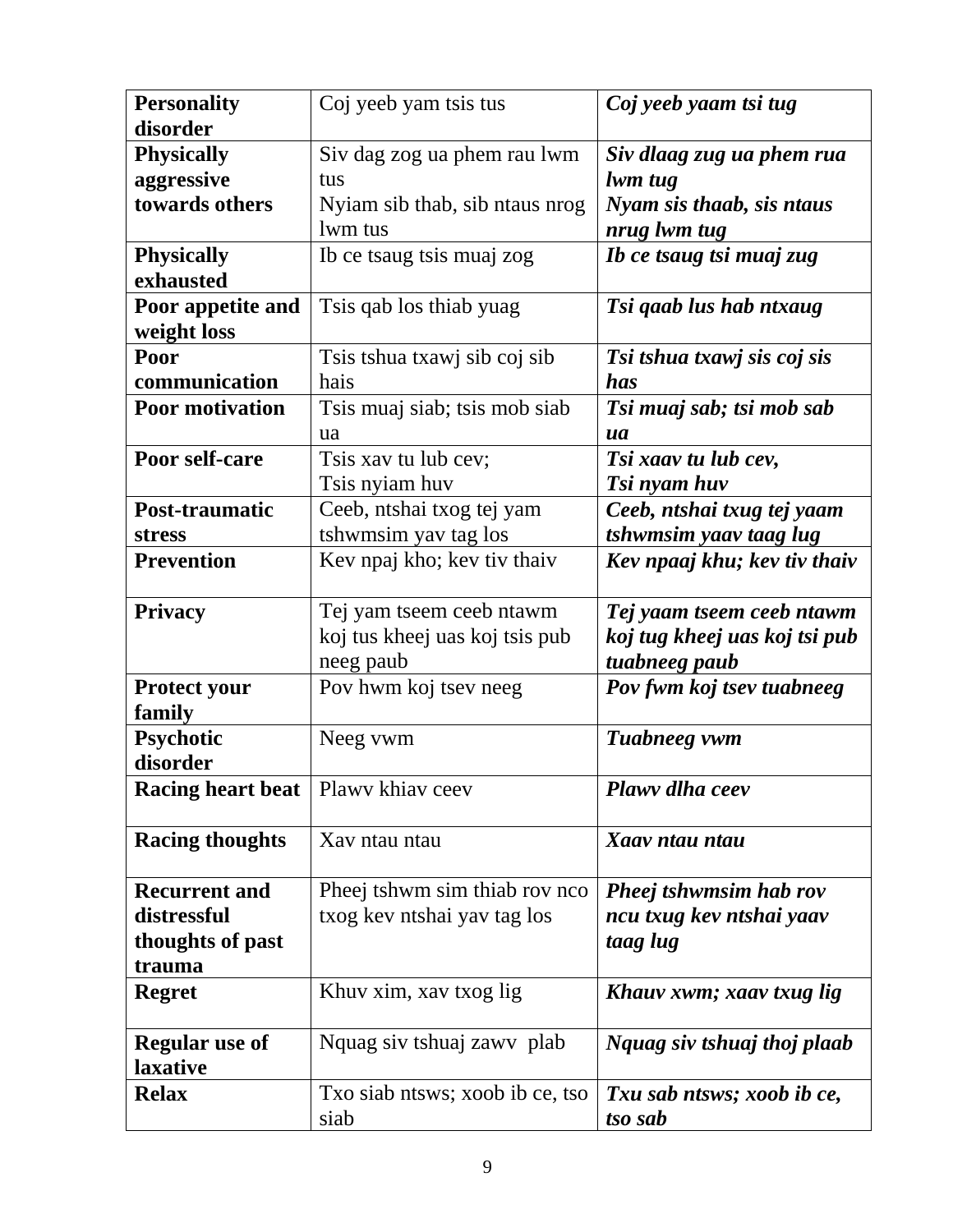| <b>Personality</b>       | Coj yeeb yam tsis tus           | Coj yeeb yaam tsi tug         |
|--------------------------|---------------------------------|-------------------------------|
| disorder                 |                                 |                               |
| <b>Physically</b>        | Siv dag zog ua phem rau lwm     | Siv dlaag zug ua phem rua     |
| aggressive               | tus                             | lwm tug                       |
| towards others           | Nyiam sib thab, sib ntaus nrog  | Nyam sis thaab, sis ntaus     |
|                          | lwm tus                         | nrug lwm tug                  |
| <b>Physically</b>        | Ib ce tsaug tsis muaj zog       | Ib ce tsaug tsi muaj zug      |
| exhausted                |                                 |                               |
| Poor appetite and        | Tsis qab los thiab yuag         | Tsi qaab lus hab ntxaug       |
| weight loss              |                                 |                               |
| Poor                     | Tsis tshua txawj sib coj sib    | Tsi tshua txawj sis coj sis   |
| communication            | hais                            | has                           |
| <b>Poor motivation</b>   | Tsis muaj siab; tsis mob siab   | Tsi muaj sab; tsi mob sab     |
|                          | ua                              | ua                            |
| Poor self-care           | Tsis xav tu lub cev;            | Tsi xaav tu lub cev,          |
|                          | Tsis nyiam huv                  | Tsi nyam huv                  |
| Post-traumatic           | Ceeb, ntshai txog tej yam       | Ceeb, ntshai txug tej yaam    |
| <b>stress</b>            | tshwmsim yav tag los            | tshwmsim yaav taag lug        |
| <b>Prevention</b>        | Kev npaj kho; kev tiv thaiv     | Kev npaaj khu; kev tiv thaiv  |
|                          |                                 |                               |
| <b>Privacy</b>           | Tej yam tseem ceeb ntawm        | Tej yaam tseem ceeb ntawm     |
|                          | koj tus kheej uas koj tsis pub  | koj tug kheej uas koj tsi pub |
|                          | neeg paub                       | tuabneeg paub                 |
| <b>Protect your</b>      | Pov hwm koj tsev neeg           | Pov fwm koj tsev tuabneeg     |
| family                   |                                 |                               |
| Psychotic                | Neeg vwm                        | Tuabneeg vwm                  |
| disorder                 |                                 |                               |
| <b>Racing heart beat</b> | Plawy khiav ceev                | Plawv dlha ceev               |
|                          |                                 |                               |
| <b>Racing thoughts</b>   | Xav ntau ntau                   | Xaav ntau ntau                |
|                          |                                 |                               |
| <b>Recurrent and</b>     | Pheej tshwm sim thiab rov nco.  | <b>Pheej tshwmsim hab rov</b> |
| distressful              | txog kev ntshai yav tag los     | ncu txug kev ntshai yaav      |
| thoughts of past         |                                 | taag lug                      |
| trauma                   |                                 |                               |
| <b>Regret</b>            | Khuv xim, xav txog lig          | Khauv xwm; xaav txug lig      |
|                          |                                 |                               |
| <b>Regular</b> use of    | Nquag siv tshuaj zawy plab      | Nquag siv tshuaj thoj plaab   |
| laxative                 |                                 |                               |
| <b>Relax</b>             | Txo siab ntsws; xoob ib ce, tso | Txu sab ntsws; xoob ib ce,    |
|                          | siab                            | tso sab                       |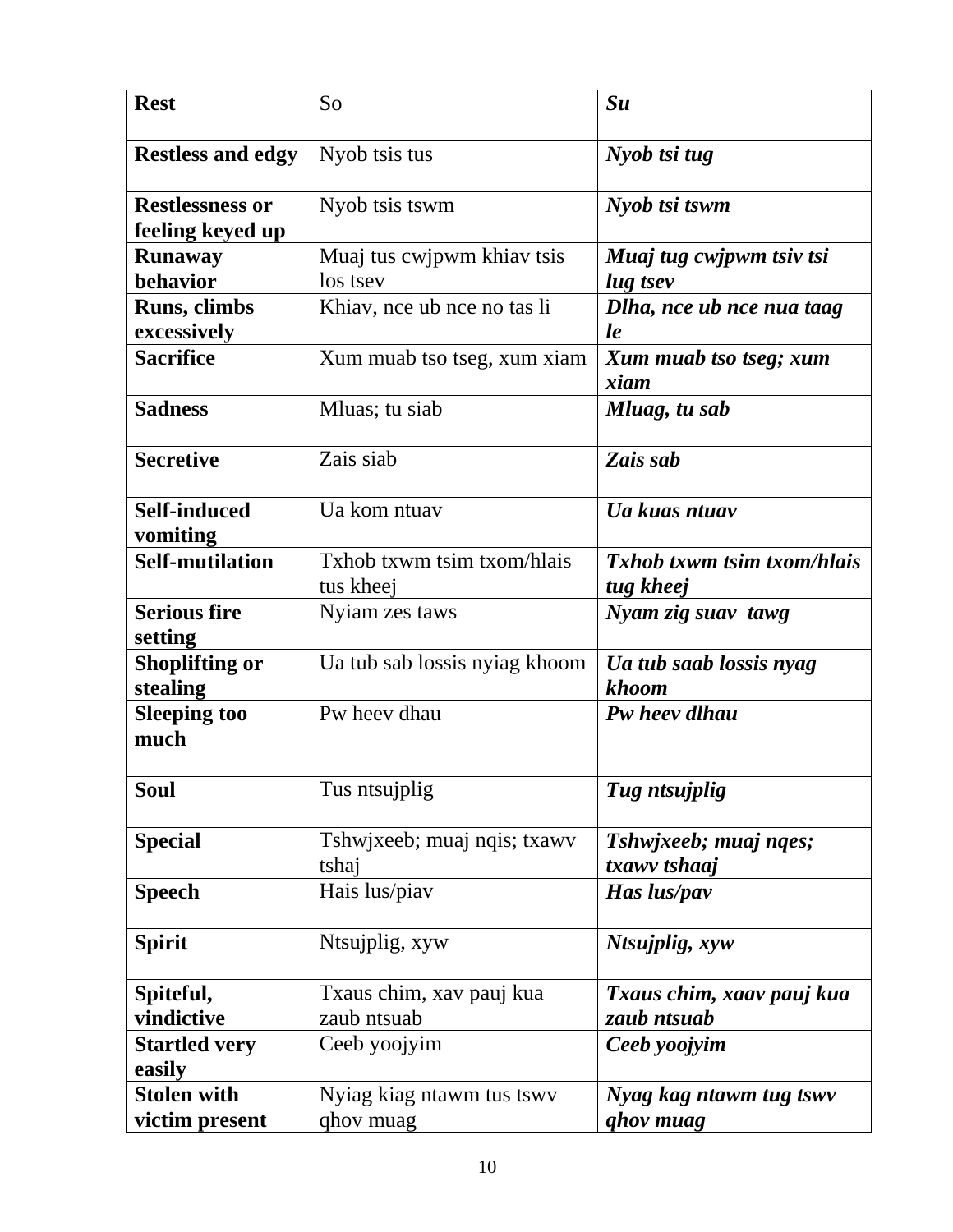| <b>Rest</b>                       | So                            | $S_{u}$                           |
|-----------------------------------|-------------------------------|-----------------------------------|
|                                   |                               |                                   |
| <b>Restless and edgy</b>          | Nyob tsis tus                 | Nyob tsi tug                      |
| <b>Restlessness or</b>            | Nyob tsis tswm                | Nyob tsi tswm                     |
| feeling keyed up                  |                               |                                   |
| <b>Runaway</b>                    | Muaj tus cwjpwm khiav tsis    | Muaj tug cwjpwm tsiv tsi          |
| behavior                          | los tsev                      | lug tsev                          |
| Runs, climbs                      | Khiav, nce ub nce no tas li   | Dlha, nce ub nce nua taag         |
| excessively                       |                               | le                                |
| <b>Sacrifice</b>                  | Xum muab tso tseg, xum xiam   | Xum muab tso tseg; xum            |
|                                   |                               | xiam                              |
| <b>Sadness</b>                    | Mluas; tu siab                | Mluag, tu sab                     |
| <b>Secretive</b>                  | Zais siab                     | Zais sab                          |
| <b>Self-induced</b>               | Ua kom ntuav                  | Ua kuas ntuav                     |
| vomiting                          |                               |                                   |
| <b>Self-mutilation</b>            | Txhob txwm tsim txom/hlais    | <b>Txhob txwm tsim txom/hlais</b> |
|                                   | tus kheej                     | tug kheej                         |
| <b>Serious fire</b>               | Nyiam zes taws                | Nyam zig suav tawg                |
| setting                           |                               |                                   |
| <b>Shoplifting or</b><br>stealing | Ua tub sab lossis nyiag khoom | Ua tub saab lossis nyag<br>khoom  |
| <b>Sleeping too</b><br>much       | Pw heev dhau                  | Pw heev dlhau                     |
| Soul                              | Tus ntsujplig                 | Tug ntsujplig                     |
| <b>Special</b>                    | Tshwjxeeb; muaj nqis; txawv   | Tshwjxeeb; muaj nqes;             |
|                                   | tshaj                         | txawv tshaaj                      |
| <b>Speech</b>                     | Hais lus/piav                 | Has lus/pav                       |
| <b>Spirit</b>                     | Ntsujplig, xyw                | Ntsujplig, xyw                    |
| Spiteful,                         | Txaus chim, xav pauj kua      | Txaus chim, xaav pauj kua         |
| vindictive                        | zaub ntsuab                   | zaub ntsuab                       |
| <b>Startled very</b>              | Ceeb yoojyim                  | Ceeb yoojyim                      |
| easily                            |                               |                                   |
| <b>Stolen with</b>                | Nyiag kiag ntawm tus tswy     | Nyag kag ntawm tug tswv           |
| victim present                    | qhov muag                     | <i>ghov muag</i>                  |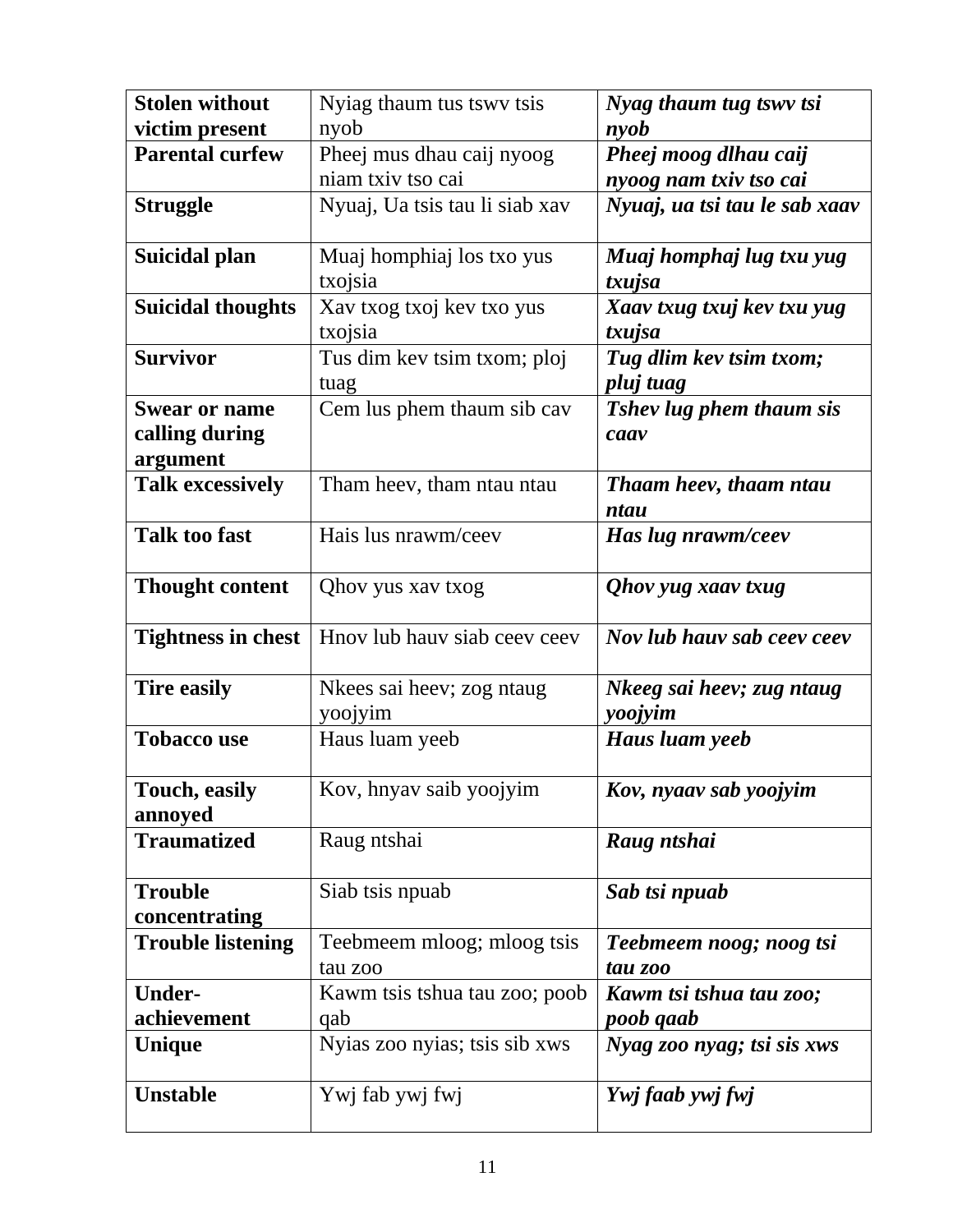| <b>Stolen without</b>     | Nyiag thaum tus tswy tsis      | Nyag thaum tug tswy tsi         |
|---------------------------|--------------------------------|---------------------------------|
| victim present            | nyob                           | nyob                            |
| <b>Parental curfew</b>    | Pheej mus dhau caij nyoog      | Pheej moog dlhau caij           |
|                           | niam txiv tso cai              | nyoog nam txiv tso cai          |
| <b>Struggle</b>           | Nyuaj, Ua tsis tau li siab xav | Nyuaj, ua tsi tau le sab xaav   |
|                           |                                |                                 |
| Suicidal plan             | Muaj homphiaj los txo yus      | Muaj homphaj lug txu yug        |
|                           | txojsia                        | txujsa                          |
| <b>Suicidal thoughts</b>  | Xav txog txoj kev txo yus      | Xaav txug txuj kev txu yug      |
|                           | txojsia                        | txujsa                          |
| <b>Survivor</b>           | Tus dim kev tsim txom; ploj    | Tug dlim kev tsim txom;         |
|                           | tuag                           | pluj tuag                       |
| <b>Swear or name</b>      | Cem lus phem thaum sib cav     | <b>Tshev lug phem thaum sis</b> |
| calling during            |                                | caav                            |
| argument                  |                                |                                 |
| <b>Talk excessively</b>   | Tham heev, tham ntau ntau      | Thaam heev, thaam ntau<br>ntau  |
| <b>Talk too fast</b>      | Hais lus nrawm/ceev            | Has lug nrawm/ceev              |
|                           |                                |                                 |
| <b>Thought content</b>    | Qhov yus xav txog              | <i>Qhov yug xaav txug</i>       |
| <b>Tightness in chest</b> | Hnov lub hauv siab ceev ceev   | Nov lub hauv sab ceev ceev      |
| <b>Tire easily</b>        | Nkees sai heev; zog ntaug      | Nkeeg sai heev; zug ntaug       |
|                           | yoojyim                        | yoojyim                         |
| <b>Tobacco use</b>        | Haus luam yeeb                 | Haus luam yeeb                  |
| Touch, easily             | Kov, hnyav saib yoojyim        | Kov, nyaav sab yoojyim          |
| annoyed                   |                                |                                 |
| <b>Traumatized</b>        | Raug ntshai                    | Raug ntshai                     |
| <b>Trouble</b>            | Siab tsis npuab                | Sab tsi npuab                   |
| concentrating             |                                |                                 |
| <b>Trouble listening</b>  | Teebmeem mloog; mloog tsis     | Teebmeem noog; noog tsi         |
|                           | tau zoo                        | tau zoo                         |
| <b>Under-</b>             | Kawm tsis tshua tau zoo; poob  | Kawm tsi tshua tau zoo;         |
| achievement               | qab                            | poob qaab                       |
| <b>Unique</b>             | Nyias zoo nyias; tsis sib xws  | Nyag zoo nyag; tsi sis xws      |
|                           |                                |                                 |
| <b>Unstable</b>           | Ywj fab ywj fwj                | Ywj faab ywj fwj                |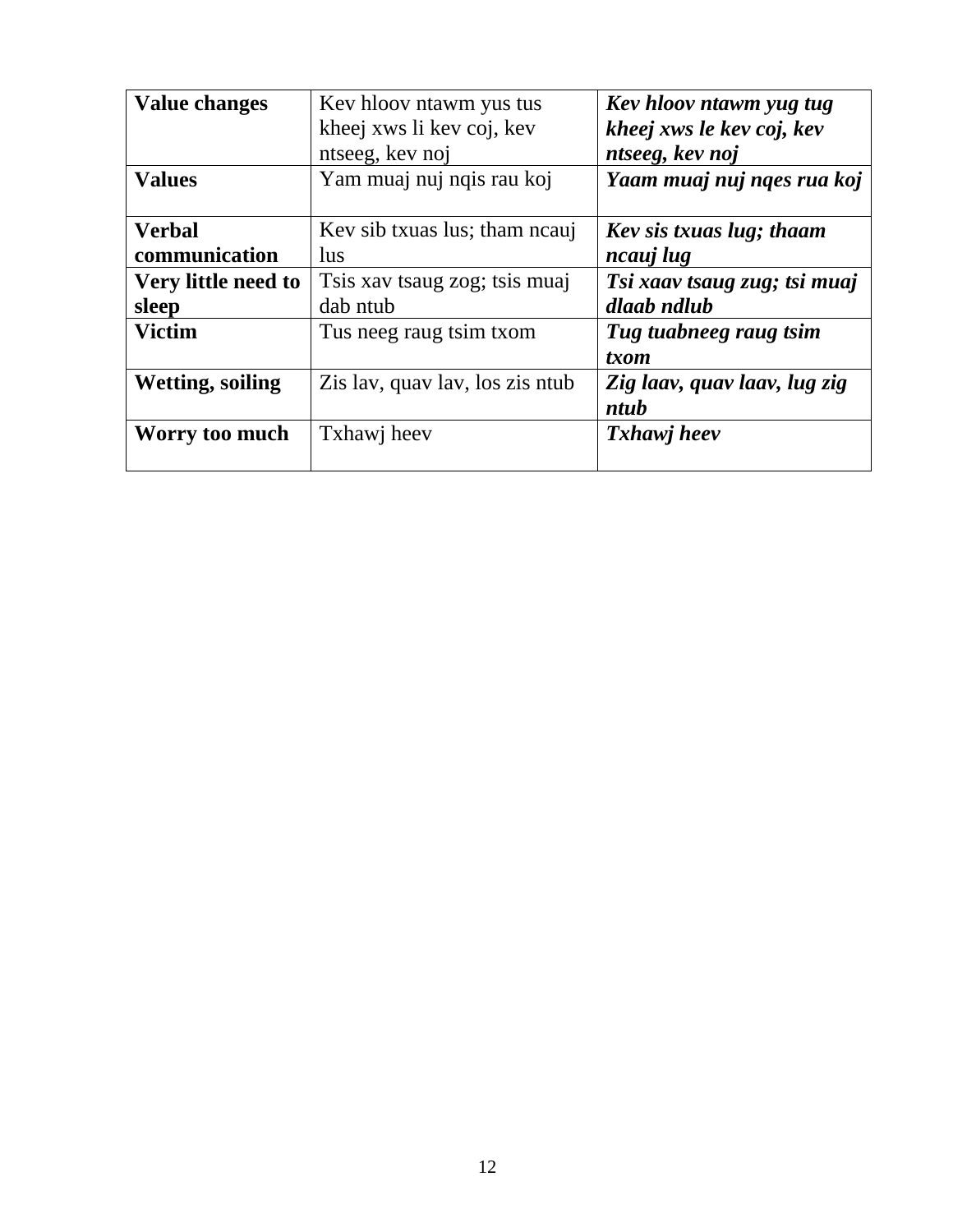| <b>Value changes</b>    | Key hlooy ntawm yus tus         | Kev hloov ntawm yug tug      |
|-------------------------|---------------------------------|------------------------------|
|                         | kheej xws li kev coj, kev       | kheej xws le kev coj, kev    |
|                         | ntseeg, kev noj                 | ntseeg, kev noj              |
| <b>Values</b>           | Yam muaj nuj nqis rau koj       | Yaam muaj nuj nges rua koj   |
|                         |                                 |                              |
| <b>Verbal</b>           | Key sib txuas lus; tham neauj   | Kev sis txuas lug; thaam     |
| communication           | <i>lus</i>                      | ncauj lug                    |
| Very little need to     | Tsis xav tsaug zog; tsis muaj   | Tsi xaav tsaug zug; tsi muaj |
| sleep                   | dab ntub                        | dlaab ndlub                  |
| <b>Victim</b>           | Tus neeg raug tsim txom         | Tug tuabneeg raug tsim       |
|                         |                                 | txom                         |
| <b>Wetting, soiling</b> | Zis lav, quav lav, los zis ntub | Zig laav, quav laav, lug zig |
|                         |                                 | ntub                         |
| Worry too much          | Txhawj heev                     | Txhawj heev                  |
|                         |                                 |                              |